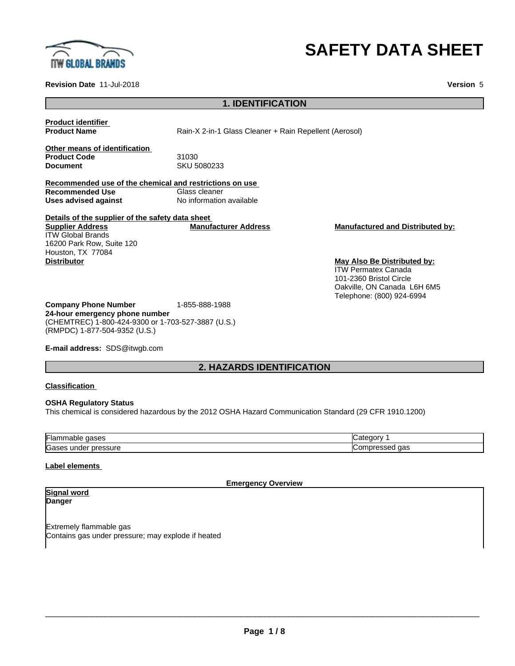

# **SAFETY DATA SHEET**

**Revision Date** 11-Jul-2018 **Version** 5

# **1. IDENTIFICATION**

**Product identifier**

**Product Name** Rain-X 2-in-1 Glass Cleaner + Rain Repellent (Aerosol)

**Other means of identification Product Code** 31030<br> **Document** SKU 5

**Document** SKU 5080233

**Recommended use of the chemical and restrictions on use Recommended Use**<br>**Uses advised against No information available** 

**Details of the supplier of the safety data sheet Supplier Address** ITW Global Brands 16200 Park Row, Suite 120 Houston, TX 77084 **Distributor May Also Be Distributed by:**

**Manufacturer Address Manufactured and Distributed by:**

ITW Permatex Canada 101-2360 Bristol Circle Oakville, ON Canada L6H 6M5 Telephone: (800) 924-6994

**Company Phone Number** 1-855-888-1988 **24-hour emergency phone number** (CHEMTREC) 1-800-424-9300 or 1-703-527-3887 (U.S.) (RMPDC) 1-877-504-9352 (U.S.)

**E-mail address:** SDS@itwgb.com

# **2. HAZARDS IDENTIFICATION**

#### **Classification**

#### **OSHA Regulatory Status**

This chemical is considered hazardous by the 2012 OSHA Hazard Communication Standard (29 CFR 1910.1200)

| <b>Flan</b><br>,,,,<br>. iadir<br>. | $\sim$ $\sim$ $\sim$<br>າເາເ |
|-------------------------------------|------------------------------|
| Gas<br>essure<br>unde<br>or.        | --<br>1.J.<br>uu             |

#### **Label elements**

#### **Emergency Overview**

#### **Signal word Danger**

Extremely flammable gas Contains gas under pressure; may explode if heated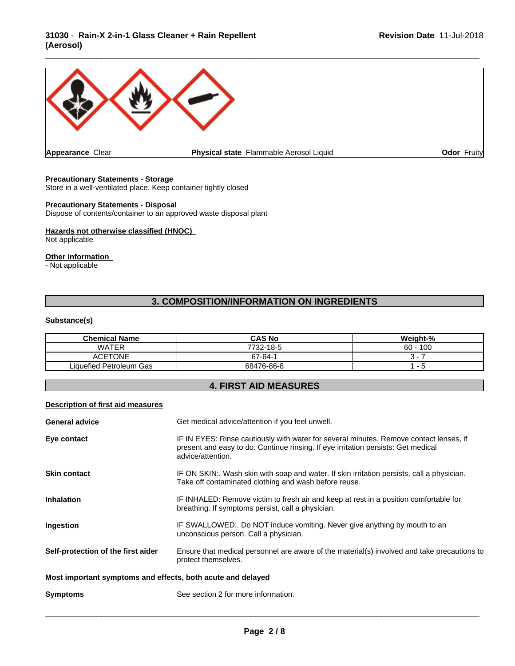# **31030** - **Rain-X 2-in-1 Glass Cleaner + Rain Repellent (Aerosol)**



# **Precautionary Statements - Storage**

Store in a well-ventilated place. Keep container tightly closed

# **Precautionary Statements - Disposal**

Dispose of contents/container to an approved waste disposal plant

#### **Hazards not otherwise classified (HNOC)**

Not applicable

#### **Other Information**

- Not applicable

# **3. COMPOSITION/INFORMATION ON INGREDIENTS**

# **Substance(s)**

| <b>Chemical Name</b>    | <b>CAS No</b> | Weight-%  |
|-------------------------|---------------|-----------|
| <b>WATER</b>            | 7732-18-5     | 100<br>60 |
| <b>ACETONE</b>          | $67 - 64 - 7$ |           |
| Liquefied Petroleum Gas | 68476-86-8    |           |

# **4. FIRST AID MEASURES**

### **Description of first aid measures**

| <b>General advice</b>                                       | Get medical advice/attention if you feel unwell.                                                                                                                                                 |  |
|-------------------------------------------------------------|--------------------------------------------------------------------------------------------------------------------------------------------------------------------------------------------------|--|
| Eye contact                                                 | IF IN EYES: Rinse cautiously with water for several minutes. Remove contact lenses, if<br>present and easy to do. Continue rinsing. If eye irritation persists: Get medical<br>advice/attention. |  |
| <b>Skin contact</b>                                         | IF ON SKIN:. Wash skin with soap and water. If skin irritation persists, call a physician.<br>Take off contaminated clothing and wash before reuse.                                              |  |
| <b>Inhalation</b>                                           | IF INHALED: Remove victim to fresh air and keep at rest in a position comfortable for<br>breathing. If symptoms persist, call a physician.                                                       |  |
| <b>Ingestion</b>                                            | IF SWALLOWED:. Do NOT induce vomiting. Never give anything by mouth to an<br>unconscious person. Call a physician.                                                                               |  |
| Self-protection of the first aider                          | Ensure that medical personnel are aware of the material(s) involved and take precautions to<br>protect themselves.                                                                               |  |
| Most important symptoms and effects, both acute and delayed |                                                                                                                                                                                                  |  |
| <b>Symptoms</b>                                             | See section 2 for more information.                                                                                                                                                              |  |
|                                                             |                                                                                                                                                                                                  |  |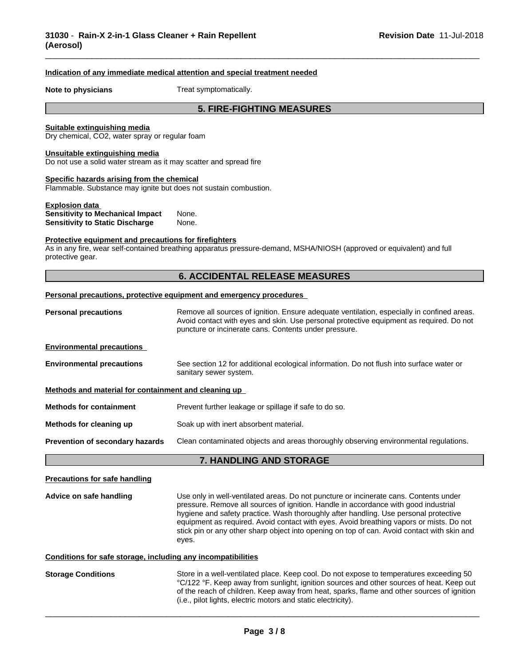#### **Indication of any immediate medical attention and special treatment needed**

**Note to physicians** Treat symptomatically.

# **5. FIRE-FIGHTING MEASURES**

\_\_\_\_\_\_\_\_\_\_\_\_\_\_\_\_\_\_\_\_\_\_\_\_\_\_\_\_\_\_\_\_\_\_\_\_\_\_\_\_\_\_\_\_\_\_\_\_\_\_\_\_\_\_\_\_\_\_\_\_\_\_\_\_\_\_\_\_\_\_\_\_\_\_\_\_\_\_\_\_\_\_\_\_\_\_\_\_\_\_\_\_\_

#### **Suitable extinguishing media**

Dry chemical, CO2, water spray or regular foam

#### **Unsuitable extinguishing media**

Do not use a solid water stream as it may scatter and spread fire

#### **Specific hazards arising from the chemical**

Flammable. Substance may ignite but does not sustain combustion.

| <b>Explosion data</b>                   |       |
|-----------------------------------------|-------|
| <b>Sensitivity to Mechanical Impact</b> | None. |
| <b>Sensitivity to Static Discharge</b>  | None. |

#### **Protective equipment and precautions for firefighters**

As in any fire, wear self-contained breathing apparatus pressure-demand, MSHA/NIOSH (approved or equivalent) and full protective gear.

## **6. ACCIDENTAL RELEASE MEASURES**

#### **Personal precautions, protective equipment and emergency procedures**

| <b>Personal precautions</b>                          | Remove all sources of ignition. Ensure adequate ventilation, especially in confined areas.<br>Avoid contact with eyes and skin. Use personal protective equipment as required. Do not<br>puncture or incinerate cans. Contents under pressure. |
|------------------------------------------------------|------------------------------------------------------------------------------------------------------------------------------------------------------------------------------------------------------------------------------------------------|
| <b>Environmental precautions</b>                     |                                                                                                                                                                                                                                                |
| <b>Environmental precautions</b>                     | See section 12 for additional ecological information. Do not flush into surface water or<br>sanitary sewer system.                                                                                                                             |
| Methods and material for containment and cleaning up |                                                                                                                                                                                                                                                |
| <b>Methods for containment</b>                       | Prevent further leakage or spillage if safe to do so.                                                                                                                                                                                          |
| Methods for cleaning up                              | Soak up with inert absorbent material.                                                                                                                                                                                                         |
| Prevention of secondary hazards                      | Clean contaminated objects and areas thoroughly observing environmental regulations.                                                                                                                                                           |

# **7. HANDLING AND STORAGE**

# **Precautions for safe handling Advice on safe handling** Use only in well-ventilated areas. Do not puncture or incinerate cans. Contents under pressure. Remove all sources of ignition. Handle in accordance with good industrial hygiene and safety practice. Wash thoroughly after handling. Use personal protective equipment as required. Avoid contact with eyes. Avoid breathing vapors or mists. Do not stick pin or any other sharp object into opening on top of can. Avoid contact with skin and eyes. **Conditions for safe storage, including any incompatibilities Storage Conditions** Store in a well-ventilated place. Keep cool. Do not expose to temperatures exceeding 50 °C/122 °F. Keep away from sunlight, ignition sources and other sources of heat. Keep out of the reach of children. Keep away from heat, sparks, flame and other sources of ignition (i.e., pilot lights, electric motors and static electricity).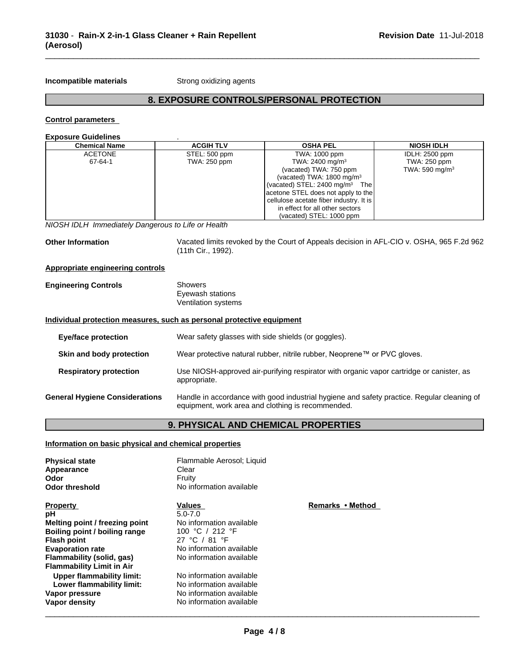**Incompatible materials** Strong oxidizing agents

# **8. EXPOSURE CONTROLS/PERSONAL PROTECTION**

\_\_\_\_\_\_\_\_\_\_\_\_\_\_\_\_\_\_\_\_\_\_\_\_\_\_\_\_\_\_\_\_\_\_\_\_\_\_\_\_\_\_\_\_\_\_\_\_\_\_\_\_\_\_\_\_\_\_\_\_\_\_\_\_\_\_\_\_\_\_\_\_\_\_\_\_\_\_\_\_\_\_\_\_\_\_\_\_\_\_\_\_\_

#### **Control parameters**

**Exposure Guidelines** .

| <b>Chemical Name</b> | <b>ACGIH TLV</b> | <b>OSHA PEL</b>                            | <b>NIOSH IDLH</b> |
|----------------------|------------------|--------------------------------------------|-------------------|
| <b>ACETONE</b>       | STEL: 500 ppm    | TWA: 1000 ppm                              | IDLH: 2500 ppm    |
| 67-64-1              | TWA: 250 ppm     | TWA: 2400 mg/m <sup>3</sup>                | TWA: 250 ppm      |
|                      |                  | (vacated) TWA: 750 ppm                     | TWA: 590 mg/m $3$ |
|                      |                  | (vacated) TWA: $1800 \text{ mg/m}^3$       |                   |
|                      |                  | (vacated) STEL: 2400 mg/m <sup>3</sup> The |                   |
|                      |                  | acetone STEL does not apply to the         |                   |
|                      |                  | cellulose acetate fiber industry. It is I  |                   |
|                      |                  | in effect for all other sectors            |                   |
|                      |                  | (vacated) STEL: 1000 ppm                   |                   |

*NIOSH IDLH Immediately Dangerous to Life or Health*

**Other Information** Vacated limits revoked by the Court of Appeals decision in AFL-CIO v.OSHA, 965 F.2d 962 (11th Cir., 1992).

# **Appropriate engineering controls**

| <b>Engineering Controls</b> | Showers             |
|-----------------------------|---------------------|
|                             | Eyewash stations    |
|                             | Ventilation systems |

#### **Individual protection measures, such as personal protective equipment**

| Eye/face protection                   | Wear safety glasses with side shields (or goggles).                                                                                             |
|---------------------------------------|-------------------------------------------------------------------------------------------------------------------------------------------------|
| Skin and body protection              | Wear protective natural rubber, nitrile rubber, Neoprene™ or PVC gloves.                                                                        |
| <b>Respiratory protection</b>         | Use NIOSH-approved air-purifying respirator with organic vapor cartridge or canister, as<br>appropriate.                                        |
| <b>General Hygiene Considerations</b> | Handle in accordance with good industrial hygiene and safety practice. Regular cleaning of<br>equipment, work area and clothing is recommended. |

# **9. PHYSICAL AND CHEMICAL PROPERTIES**

# **Information on basic physical and chemical properties**

| <b>Physical state</b><br>Appearance<br>Odor | Flammable Aerosol; Liquid<br>Clear<br>Fruity |                  |
|---------------------------------------------|----------------------------------------------|------------------|
| <b>Odor threshold</b>                       | No information available                     |                  |
| <b>Property</b>                             | Values                                       | Remarks • Method |
| рH                                          | $5.0 - 7.0$                                  |                  |
| Melting point / freezing point              | No information available                     |                  |
| Boiling point / boiling range               | 100 °C / 212 °F                              |                  |
| <b>Flash point</b>                          | 27 °C / 81 °F                                |                  |
| <b>Evaporation rate</b>                     | No information available                     |                  |
| Flammability (solid, gas)                   | No information available                     |                  |
| <b>Flammability Limit in Air</b>            |                                              |                  |
| Upper flammability limit:                   | No information available                     |                  |
| Lower flammability limit:                   | No information available                     |                  |
| Vapor pressure                              | No information available                     |                  |
| Vapor density                               | No information available                     |                  |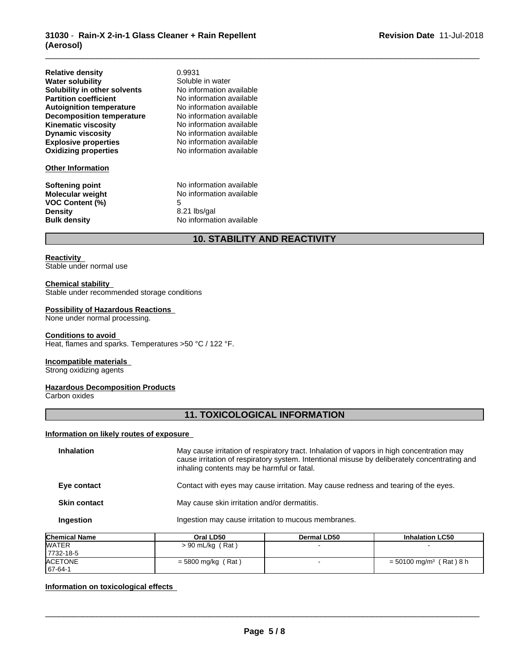| <b>Relative density</b>          | 0.9931                   |
|----------------------------------|--------------------------|
| <b>Water solubility</b>          | Soluble in water         |
| Solubility in other solvents     | No information available |
| <b>Partition coefficient</b>     | No information available |
| <b>Autoignition temperature</b>  | No information available |
| <b>Decomposition temperature</b> | No information available |
| <b>Kinematic viscosity</b>       | No information available |
| <b>Dynamic viscosity</b>         | No information available |
| <b>Explosive properties</b>      | No information available |
| <b>Oxidizing properties</b>      | No information available |

#### **Other Information**

**VOC** Content  $(\%)$ **Density** 8.21 lbs/gal

**Softening point**<br> **Molecular weight**<br> **Molecular weight**<br> **Molecular weight**<br> **Molecular weight No information available**<br>5 **Bulk density** No information available

# **10. STABILITY AND REACTIVITY**

\_\_\_\_\_\_\_\_\_\_\_\_\_\_\_\_\_\_\_\_\_\_\_\_\_\_\_\_\_\_\_\_\_\_\_\_\_\_\_\_\_\_\_\_\_\_\_\_\_\_\_\_\_\_\_\_\_\_\_\_\_\_\_\_\_\_\_\_\_\_\_\_\_\_\_\_\_\_\_\_\_\_\_\_\_\_\_\_\_\_\_\_\_

#### **Reactivity**

Stable under normal use

#### **Chemical stability**

Stable under recommended storage conditions

# **Possibility of Hazardous Reactions**

None under normal processing.

#### **Conditions to avoid**

Heat, flames and sparks. Temperatures >50 °C / 122 °F.

#### **Incompatible materials**

Strong oxidizing agents

# **Hazardous Decomposition Products**

Carbon oxides

# **11. TOXICOLOGICAL INFORMATION**

#### **Information on likely routes of exposure**

| <b>Inhalation</b>   | May cause irritation of respiratory tract. Inhalation of vapors in high concentration may<br>cause irritation of respiratory system. Intentional misuse by deliberately concentrating and<br>inhaling contents may be harmful or fatal. |
|---------------------|-----------------------------------------------------------------------------------------------------------------------------------------------------------------------------------------------------------------------------------------|
| Eye contact         | Contact with eyes may cause irritation. May cause redness and tearing of the eyes.                                                                                                                                                      |
| <b>Skin contact</b> | May cause skin irritation and/or dermatitis.                                                                                                                                                                                            |
| Ingestion           | Ingestion may cause irritation to mucous membranes.                                                                                                                                                                                     |

| <b>Chemical Name</b> | Oral LD50            | <b>Dermal LD50</b> | <b>Inhalation LC50</b>                |
|----------------------|----------------------|--------------------|---------------------------------------|
| <b>WATER</b>         | > 90 mL/kg (Rat)     |                    |                                       |
| 7732-18-5            |                      |                    |                                       |
| <b>ACETONE</b>       | $=$ 5800 mg/kg (Rat) |                    | $=$ 50100 mg/m <sup>3</sup> (Rat) 8 h |
| $167 - 64 - 1$       |                      |                    |                                       |

# **Information on toxicological effects**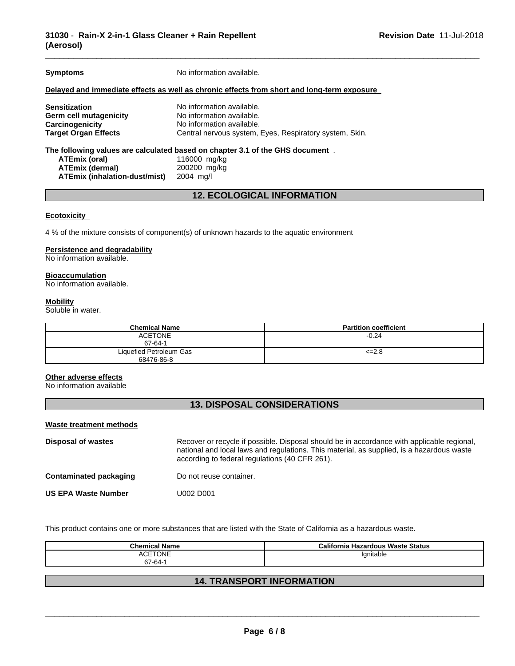**Symptoms** No information available.

#### **Delayed and immediate effects as well as chronic effects from short and long-term exposure**

**Sensitization**<br> **Serm cell mutagenicity**<br> **No information available. Germ** cell mutagenicity **Carcinogenicity** No information available. **Target Organ Effects** Central nervous system, Eyes, Respiratory system, Skin.

**The following values are calculated based on chapter 3.1 of the GHS document** . **ATEmix (oral)** 116000 mg/kg<br>**ATEmix (dermal)** 200200 mg/kg **ATEmix (dermal)** 200200 mg<br>**ATEmix (inhalation-dust/mist)** 2004 mg/l **ATEmix** (inhalation-dust/mist)

# **12. ECOLOGICAL INFORMATION**

#### **Ecotoxicity**

4 % of the mixture consists of component(s) of unknown hazards to the aquatic environment

# **Persistence and degradability**

No information available.

#### **Bioaccumulation**

No information available.

#### **Mobility**

Soluble in water.

| <b>Chemical Name</b>    | <b>Partition coefficient</b> |
|-------------------------|------------------------------|
| <b>ACETONE</b>          | $-0.24$                      |
| 67-64-1                 |                              |
| Liquefied Petroleum Gas | $\leq$ 2.8                   |
| 68476-86-8              |                              |

#### **Other adverse effects**

No information available

# **13. DISPOSAL CONSIDERATIONS**

#### **Waste treatment methods**

| Disposal of wastes         | Recover or recycle if possible. Disposal should be in accordance with applicable regional,<br>national and local laws and regulations. This material, as supplied, is a hazardous waste<br>according to federal regulations (40 CFR 261). |
|----------------------------|-------------------------------------------------------------------------------------------------------------------------------------------------------------------------------------------------------------------------------------------|
| Contaminated packaging     | Do not reuse container.                                                                                                                                                                                                                   |
| <b>US EPA Waste Number</b> | U002 D001                                                                                                                                                                                                                                 |

This product contains one or more substances that are listed with the State of California as a hazardous waste.

| <b>Chemical Name</b>     | । Hazardous Waste Status<br>California |
|--------------------------|----------------------------------------|
| TONE<br>ACF <sup>®</sup> | 'gnitable                              |
| 67-64-1                  |                                        |

# **14. TRANSPORT INFORMATION**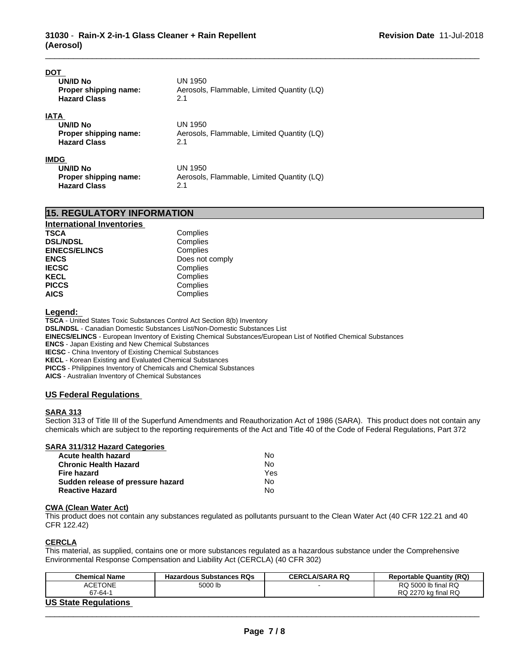| DO1<br><b>UN/ID No</b><br>Proper shipping name:<br><b>Hazard Class</b>  | UN 1950<br>Aerosols, Flammable, Limited Quantity (LQ)<br>2.1 |
|-------------------------------------------------------------------------|--------------------------------------------------------------|
| <b>IATA</b><br>UN/ID No<br>Proper shipping name:<br><b>Hazard Class</b> | UN 1950<br>Aerosols, Flammable, Limited Quantity (LQ)<br>2.1 |
| <b>IMDG</b><br>UN/ID No<br>Proper shipping name:<br><b>Hazard Class</b> | UN 1950<br>Aerosols, Flammable, Limited Quantity (LQ)<br>2.1 |

| <b>15. REGULATORY INFORMATION</b> |  |
|-----------------------------------|--|
|-----------------------------------|--|

| <b>International Inventories</b> |                 |
|----------------------------------|-----------------|
| <b>TSCA</b>                      | Complies        |
| <b>DSL/NDSL</b>                  | Complies        |
| <b>EINECS/ELINCS</b>             | Complies        |
| <b>ENCS</b>                      | Does not comply |
| <b>IECSC</b>                     | Complies        |
| <b>KECL</b>                      | Complies        |
| <b>PICCS</b>                     | Complies        |
| <b>AICS</b>                      | Complies        |

#### **Legend:**

**TSCA** - United States Toxic Substances Control Act Section 8(b) Inventory **DSL/NDSL** - Canadian Domestic Substances List/Non-Domestic Substances List **EINECS/ELINCS** - European Inventory of Existing Chemical Substances/European List of Notified Chemical Substances **ENCS** - Japan Existing and New Chemical Substances **IECSC** - China Inventory of Existing Chemical Substances **KECL** - Korean Existing and Evaluated Chemical Substances **PICCS** - Philippines Inventory of Chemicals and Chemical Substances **AICS** - Australian Inventory of Chemical Substances

# **US Federal Regulations**

# **SARA 313**

Section 313 of Title III of the Superfund Amendments and Reauthorization Act of 1986 (SARA). This product does not contain any chemicals which are subject to the reporting requirements of the Act and Title 40 of the Code of Federal Regulations, Part 372

\_\_\_\_\_\_\_\_\_\_\_\_\_\_\_\_\_\_\_\_\_\_\_\_\_\_\_\_\_\_\_\_\_\_\_\_\_\_\_\_\_\_\_\_\_\_\_\_\_\_\_\_\_\_\_\_\_\_\_\_\_\_\_\_\_\_\_\_\_\_\_\_\_\_\_\_\_\_\_\_\_\_\_\_\_\_\_\_\_\_\_\_\_

## **SARA 311/312 Hazard Categories**

| Acute health hazard               | No. |  |
|-----------------------------------|-----|--|
| Chronic Health Hazard             | No. |  |
| Fire hazard                       | Yes |  |
| Sudden release of pressure hazard | No. |  |
| Reactive Hazard                   | N٥  |  |

### **CWA** (Clean Water Act)

This product does not contain any substances regulated as pollutants pursuant to the Clean Water Act (40 CFR 122.21 and 40 CFR 122.42)

# **CERCLA**

This material, as supplied, contains one or more substances regulated as a hazardous substance under the Comprehensive Environmental Response Compensation and Liability Act (CERCLA) (40 CFR 302)

| <b>Chemical Name</b>        | <b>Hazardous Substances RQs</b> | <b>CERCLA/SARA RQ</b> | <b>Reportable Quantity (RQ)</b> |
|-----------------------------|---------------------------------|-----------------------|---------------------------------|
| <b>ACETONE</b>              | 5000 lb                         |                       | RQ 5000 lb final RQ             |
| 67-64-1                     |                                 |                       | RQ 2270 kg final RQ             |
| <b>US State Regulations</b> |                                 |                       |                                 |